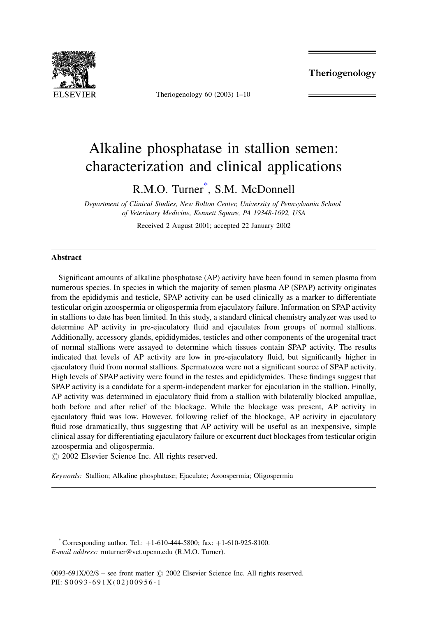

Theriogenology 60 (2003)  $1-10$ 

Theriogenology

# Alkaline phosphatase in stallion semen: characterization and clinical applications

R.M.O. Turner<sup>\*</sup>, S.M. McDonnell

Department of Clinical Studies, New Bolton Center, University of Pennsylvania School of Veterinary Medicine, Kennett Square, PA 19348-1692, USA

Received 2 August 2001; accepted 22 January 2002

### **Abstract**

Significant amounts of alkaline phosphatase (AP) activity have been found in semen plasma from numerous species. In species in which the majority of semen plasma AP (SPAP) activity originates from the epididymis and testicle, SPAP activity can be used clinically as a marker to differentiate testicular origin azoospermia or oligospermia from ejaculatory failure. Information on SPAP activity in stallions to date has been limited. In this study, a standard clinical chemistry analyzer was used to determine AP activity in pre-ejaculatory fluid and ejaculates from groups of normal stallions. Additionally, accessory glands, epididymides, testicles and other components of the urogenital tract of normal stallions were assayed to determine which tissues contain SPAP activity. The results indicated that levels of AP activity are low in pre-ejaculatory fluid, but significantly higher in ejaculatory fluid from normal stallions. Spermatozoa were not a significant source of SPAP activity. High levels of SPAP activity were found in the testes and epididymides. These findings suggest that SPAP activity is a candidate for a sperm-independent marker for ejaculation in the stallion. Finally, AP activity was determined in ejaculatory fluid from a stallion with bilaterally blocked ampullae, both before and after relief of the blockage. While the blockage was present, AP activity in ejaculatory fluid was low. However, following relief of the blockage, AP activity in ejaculatory fluid rose dramatically, thus suggesting that AP activity will be useful as an inexpensive, simple clinical assay for differentiating ejaculatory failure or excurrent duct blockages from testicular origin azoospermia and oligospermia.

© 2002 Elsevier Science Inc. All rights reserved.

Keywords: Stallion; Alkaline phosphatase; Ejaculate; Azoospermia; Oligospermia

Corresponding author. Tel.:  $+1-610-444-5800$ ; fax:  $+1-610-925-8100$ . E-mail address: rmturner@vet.upenn.edu (R.M.O. Turner).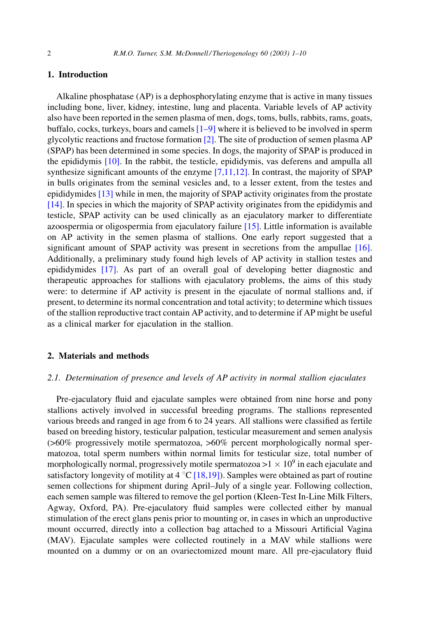## 1. Introduction

Alkaline phosphatase (AP) is a dephosphorylating enzyme that is active in many tissues including bone, liver, kidney, intestine, lung and placenta. Variable levels of AP activity also have been reported in the semen plasma of men, dogs, toms, bulls, rabbits, rams, goats, buffalo, cocks, turkeys, boars and camels  $[1-9]$  where it is believed to be involved in sperm glycolytic reactions and fructose formation  $[2]$ . The site of production of semen plasma AP (SPAP) has been determined in some species. In dogs, the majority of SPAP is produced in the epididymis  $[10]$ . In the rabbit, the testicle, epididymis, vas deferens and ampulla all synthesize significant amounts of the enzyme  $[7,11,12]$ . In contrast, the majority of SPAP in bulls originates from the seminal vesicles and, to a lesser extent, from the testes and epididymides [13] while in men, the majority of SPAP activity originates from the prostate  $[14]$ . In species in which the majority of SPAP activity originates from the epididymis and testicle, SPAP activity can be used clinically as an ejaculatory marker to differentiate azoospermia or oligospermia from ejaculatory failure [15]. Little information is available on AP activity in the semen plasma of stallions. One early report suggested that a significant amount of SPAP activity was present in secretions from the ampullae [16]. Additionally, a preliminary study found high levels of AP activity in stallion testes and epididymides [17]. As part of an overall goal of developing better diagnostic and therapeutic approaches for stallions with ejaculatory problems, the aims of this study were: to determine if AP activity is present in the ejaculate of normal stallions and, if present, to determine its normal concentration and total activity; to determine which tissues of the stallion reproductive tract contain AP activity, and to determine if AP might be useful as a clinical marker for ejaculation in the stallion.

#### 2. Materials and methods

## 2.1. Determination of presence and levels of AP activity in normal stallion ejaculates

Pre-ejaculatory fluid and ejaculate samples were obtained from nine horse and pony stallions actively involved in successful breeding programs. The stallions represented various breeds and ranged in age from 6 to 24 years. All stallions were classified as fertile based on breeding history, testicular palpation, testicular measurement and semen analysis (>60% progressively motile spermatozoa, >60% percent morphologically normal spermatozoa, total sperm numbers within normal limits for testicular size, total number of morphologically normal, progressively motile spermatozoa >1  $\times$  10<sup>9</sup> in each ejaculate and satisfactory longevity of motility at 4  $^{\circ}$ C [18,19]). Samples were obtained as part of routine semen collections for shipment during April–July of a single year. Following collection, each semen sample was filtered to remove the gel portion (Kleen-Test In-Line Milk Filters, Agway, Oxford, PA). Pre-ejaculatory fluid samples were collected either by manual stimulation of the erect glans penis prior to mounting or, in cases in which an unproductive mount occurred, directly into a collection bag attached to a Missouri Artificial Vagina (MAV). Ejaculate samples were collected routinely in a MAV while stallions were mounted on a dummy or on an ovariectomized mount mare. All pre-ejaculatory fluid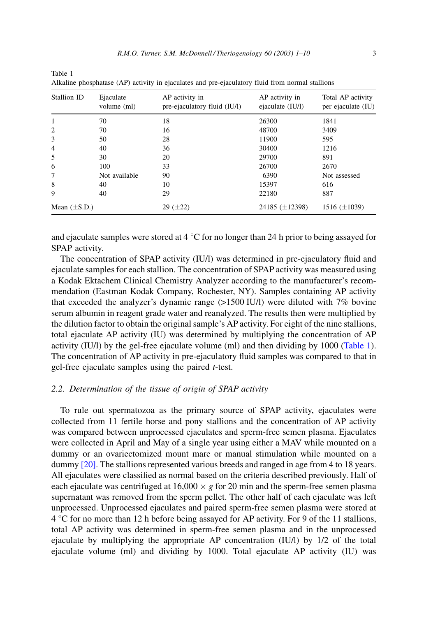| Stallion ID       | Ejaculate<br>volume (ml) | AP activity in<br>pre-ejaculatory fluid (IU/l) | AP activity in<br>ejaculate (IU/l) | Total AP activity<br>per ejaculate (IU) |
|-------------------|--------------------------|------------------------------------------------|------------------------------------|-----------------------------------------|
| 1                 | 70                       | 18                                             | 26300                              | 1841                                    |
| $\overline{2}$    | 70                       | 16                                             | 48700                              | 3409                                    |
| 3                 | 50                       | 28                                             | 11900                              | 595                                     |
| $\overline{4}$    | 40                       | 36                                             | 30400                              | 1216                                    |
| 5                 | 30                       | 20                                             | 29700                              | 891                                     |
| 6                 | 100                      | 33                                             | 26700                              | 2670                                    |
| 7                 | Not available            | 90                                             | 6390                               | Not assessed                            |
| 8                 | 40                       | 10                                             | 15397                              | 616                                     |
| 9                 | 40                       | 29                                             | 22180                              | 887                                     |
| Mean $(\pm S.D.)$ |                          | $29 (+22)$                                     | 24185 $(\pm 12398)$                | 1516 $(\pm 1039)$                       |

<span id="page-2-0"></span>Table 1

and ejaculate samples were stored at 4  $^{\circ}$ C for no longer than 24 h prior to being assayed for SPAP activity.

The concentration of SPAP activity (IU/I) was determined in pre-ejaculatory fluid and ejaculate samples for each stallion. The concentration of SPAP activity was measured using a Kodak Ektachem Clinical Chemistry Analyzer according to the manufacturer's recommendation (Eastman Kodak Company, Rochester, NY). Samples containing AP activity that exceeded the analyzer's dynamic range  $(>1500 \text{ IU/l})$  were diluted with 7% bovine serum albumin in reagent grade water and reanalyzed. The results then were multiplied by the dilution factor to obtain the original sample's AP activity. For eight of the nine stallions, total ejaculate AP activity (IU) was determined by multiplying the concentration of AP activity (IU/I) by the gel-free ejaculate volume (ml) and then dividing by 1000 (Table 1). The concentration of AP activity in pre-ejaculatory fluid samples was compared to that in gel-free ejaculate samples using the paired  $t$ -test.

## 2.2. Determination of the tissue of origin of SPAP activity

To rule out spermatozoa as the primary source of SPAP activity, ejaculates were collected from 11 fertile horse and pony stallions and the concentration of AP activity was compared between unprocessed ejaculates and sperm-free semen plasma. Ejaculates were collected in April and May of a single year using either a MAV while mounted on a dummy or an ovariectomized mount mare or manual stimulation while mounted on a dummy  $[20]$ . The stallions represented various breeds and ranged in age from 4 to 18 years. All ejaculates were classified as normal based on the criteria described previously. Half of each ejaculate was centrifuged at 16,000  $\times$  g for 20 min and the sperm-free semen plasma supernatant was removed from the sperm pellet. The other half of each ejaculate was left unprocessed. Unprocessed ejaculates and paired sperm-free semen plasma were stored at 4 °C for no more than 12 h before being assayed for AP activity. For 9 of the 11 stallions, total AP activity was determined in sperm-free semen plasma and in the unprocessed ejaculate by multiplying the appropriate AP concentration  $(IU/I)$  by  $1/2$  of the total ejaculate volume (ml) and dividing by 1000. Total ejaculate AP activity (IU) was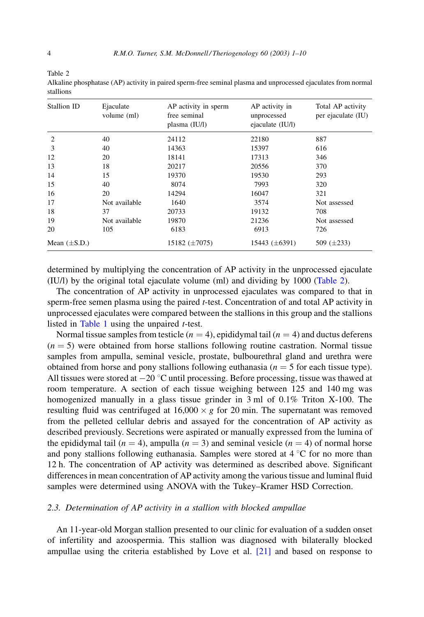<span id="page-3-0"></span>Table 2

| Alkaline phosphatase (AP) activity in paired sperm-free seminal plasma and unprocessed ejaculates from normal |  |  |
|---------------------------------------------------------------------------------------------------------------|--|--|
| stallions                                                                                                     |  |  |

| Stallion ID       | Ejaculate<br>volume (ml) | AP activity in sperm<br>free seminal<br>plasma $(IU/l)$ | AP activity in<br>unprocessed<br>ejaculate (IU/l) | Total AP activity<br>per ejaculate (IU) |
|-------------------|--------------------------|---------------------------------------------------------|---------------------------------------------------|-----------------------------------------|
| 2                 | 40                       | 24112                                                   | 22180                                             | 887                                     |
| 3                 | 40                       | 14363                                                   | 15397                                             | 616                                     |
| 12                | 20                       | 18141                                                   | 17313                                             | 346                                     |
| 13                | 18                       | 20217                                                   | 20556                                             | 370                                     |
| 14                | 15                       | 19370                                                   | 19530                                             | 293                                     |
| 15                | 40                       | 8074                                                    | 7993                                              | 320                                     |
| 16                | 20                       | 14294                                                   | 16047                                             | 321                                     |
| 17                | Not available            | 1640                                                    | 3574                                              | Not assessed                            |
| 18                | 37                       | 20733                                                   | 19132                                             | 708                                     |
| 19                | Not available            | 19870                                                   | 21236                                             | Not assessed                            |
| 20                | 105                      | 6183                                                    | 6913                                              | 726                                     |
| Mean $(\pm S.D.)$ |                          | 15182 $(\pm 7075)$                                      | 15443 $(\pm 6391)$                                | 509 $(\pm 233)$                         |

determined by multiplying the concentration of AP activity in the unprocessed ejaculate (IU/l) by the original total ejaculate volume (ml) and dividing by 1000 (Table 2).

The concentration of AP activity in unprocessed ejaculates was compared to that in sperm-free semen plasma using the paired *t*-test. Concentration of and total AP activity in unprocessed ejaculates were compared between the stallions in this group and the stallions listed in Table 1 using the unpaired  $t$ -test.

Normal tissue samples from testicle  $(n = 4)$ , epididymal tail  $(n = 4)$  and ductus deferens  $(n = 5)$  were obtained from horse stallions following routine castration. Normal tissue samples from ampulla, seminal vesicle, prostate, bulbourethral gland and urethra were obtained from horse and pony stallions following euthanasia  $(n = 5$  for each tissue type). All tissues were stored at  $-20$  °C until processing. Before processing, tissue was thawed at room temperature. A section of each tissue weighing between 125 and 140 mg was homogenized manually in a glass tissue grinder in 3 ml of 0.1% Triton X-100. The resulting fluid was centrifuged at  $16,000 \times g$  for 20 min. The supernation was removed from the pelleted cellular debris and assayed for the concentration of AP activity as described previously. Secretions were aspirated or manually expressed from the lumina of the epididymal tail ( $n = 4$ ), ampulla ( $n = 3$ ) and seminal vesicle ( $n = 4$ ) of normal horse and pony stallions following euthanasia. Samples were stored at  $4^{\circ}$ C for no more than 12 h. The concentration of AP activity was determined as described above. Significant differences in mean concentration of AP activity among the various tissue and luminal fluid samples were determined using ANOVA with the Tukey–Kramer HSD Correction.

#### 2.3. Determination of AP activity in a stallion with blocked ampullae

An 11-year-old Morgan stallion presented to our clinic for evaluation of a sudden onset of infertility and azoospermia. This stallion was diagnosed with bilaterally blocked ampullae using the criteria established by Love et al.  $[21]$  and based on response to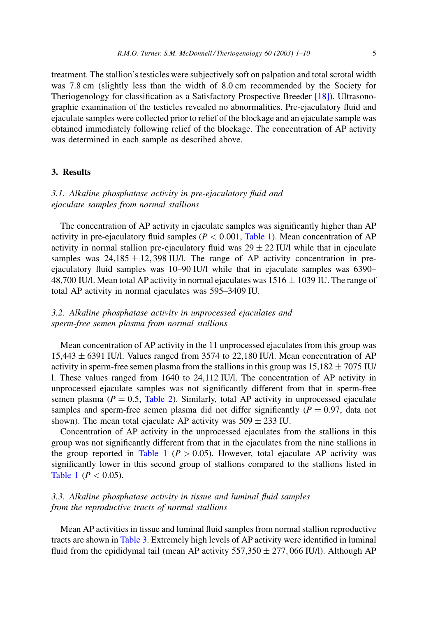treatment. The stallion's testicles were subjectively soft on palpation and total scrotal width was 7.8 cm (slightly less than the width of 8.0 cm recommended by the Society for Theriogenology for classification as a Satisfactory Prospective Breeder [18]). Ultrasonographic examination of the testicles revealed no abnormalities. Pre-ejaculatory fluid and ejaculate samples were collected prior to relief of the blockage and an ejaculate sample was obtained immediately following relief of the blockage. The concentration of AP activity was determined in each sample as described above.

# 3. Results

# 3.1. Alkaline phosphatase activity in pre-ejaculatory fluid and ejaculate samples from normal stallions

The concentration of AP activity in ejaculate samples was significantly higher than AP activity in pre-ejaculatory fluid samples ( $P < 0.001$ , Table 1). Mean concentration of AP activity in normal stallion pre-ejaculatory fluid was  $29 \pm 22$  IU/l while that in ejaculate samples was  $24.185 \pm 12.398$  IU/l. The range of AP activity concentration in preejaculatory fluid samples was 10-90 IU/l while that in ejaculate samples was 6390-48,700 IU/l. Mean total AP activity in normal ejaculates was  $1516 \pm 1039$  IU. The range of total AP activity in normal ejaculates was 595-3409 IU.

3.2. Alkaline phosphatase activity in unprocessed ejaculates and sperm-free semen plasma from normal stallions

Mean concentration of AP activity in the 11 unprocessed ejaculates from this group was 15,443  $\pm$  6391 IU/l. Values ranged from 3574 to 22,180 IU/l. Mean concentration of AP activity in sperm-free semen plasma from the stallions in this group was  $15,182 \pm 7075$  IU/ 1. These values ranged from 1640 to 24,112 IU/l. The concentration of AP activity in unprocessed ejaculate samples was not significantly different from that in sperm-free semen plasma ( $P = 0.5$ , Table 2). Similarly, total AP activity in unprocessed ejaculate samples and sperm-free semen plasma did not differ significantly  $(P = 0.97)$ , data not shown). The mean total ejaculate AP activity was  $509 \pm 233$  IU.

Concentration of AP activity in the unprocessed ejaculates from the stallions in this group was not significantly different from that in the ejaculates from the nine stallions in the group reported in Table 1 ( $P > 0.05$ ). However, total ejaculate AP activity was significantly lower in this second group of stallions compared to the stallions listed in Table 1 ( $P < 0.05$ ).

# 3.3. Alkaline phosphatase activity in tissue and luminal fluid samples from the reproductive tracts of normal stallions

Mean AP activities in tissue and luminal fluid samples from normal stallion reproductive tracts are shown in Table 3. Extremely high levels of AP activity were identified in luminal fluid from the epididymal tail (mean AP activity  $557,350 \pm 277,066$  IU/l). Although AP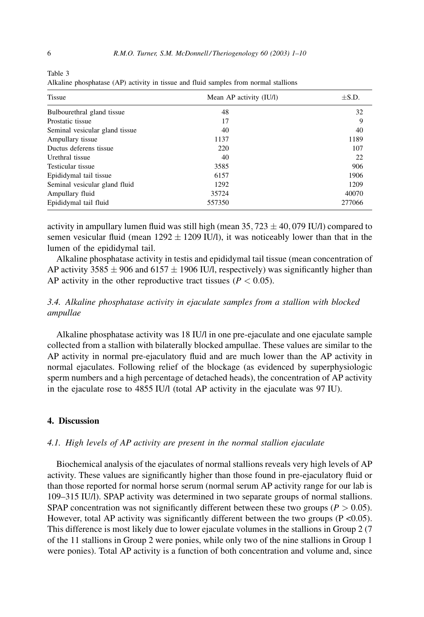| Tissue                         | Mean AP activity (IU/l) | $\pm$ S.D. |
|--------------------------------|-------------------------|------------|
| Bulbourethral gland tissue     | 48                      | 32         |
| Prostatic tissue               | 17                      | 9          |
| Seminal vesicular gland tissue | 40                      | 40         |
| Ampullary tissue               | 1137                    | 1189       |
| Ductus deferens tissue         | 220                     | 107        |
| Urethral tissue                | 40                      | 22         |
| Testicular tissue              | 3585                    | 906        |
| Epididymal tail tissue         | 6157                    | 1906       |
| Seminal vesicular gland fluid  | 1292                    | 1209       |
| Ampullary fluid                | 35724                   | 40070      |
| Epididymal tail fluid          | 557350                  | 277066     |

Alkaline phosphatase (AP) activity in tissue and fluid samples from normal stallions

activity in ampullary lumen fluid was still high (mean 35, 723  $\pm$  40, 079 IU/l) compared to semen vesicular fluid (mean  $1292 \pm 1209$  IU/l), it was noticeably lower than that in the lumen of the epididymal tail.

Alkaline phosphatase activity in testis and epididymal tail tissue (mean concentration of AP activity 3585  $\pm$  906 and 6157  $\pm$  1906 IU/l, respectively) was significantly higher than AP activity in the other reproductive tract tissues ( $P < 0.05$ ).

# 3.4. Alkaline phosphatase activity in ejaculate samples from a stallion with blocked ampullae

Alkaline phosphatase activity was 18 IU/l in one pre-ejaculate and one ejaculate sample collected from a stallion with bilaterally blocked ampullae. These values are similar to the AP activity in normal pre-ejaculatory fluid and are much lower than the AP activity in normal ejaculates. Following relief of the blockage (as evidenced by superphysiologic sperm numbers and a high percentage of detached heads), the concentration of AP activity in the ejaculate rose to 4855 IU/l (total AP activity in the ejaculate was 97 IU).

## 4. Discussion

## 4.1. High levels of AP activity are present in the normal stallion ejaculate

Biochemical analysis of the ejaculates of normal stallions reveals very high levels of AP activity. These values are significantly higher than those found in pre-ejaculatory fluid or than those reported for normal horse serum (normal serum AP activity range for our lab is 109–315 IU/I). SPAP activity was determined in two separate groups of normal stallions. SPAP concentration was not significantly different between these two groups ( $P > 0.05$ ). However, total AP activity was significantly different between the two groups  $(P < 0.05)$ . This difference is most likely due to lower ejaculate volumes in the stallions in Group 2 (7) of the 11 stallions in Group 2 were ponies, while only two of the nine stallions in Group 1 were ponies). Total AP activity is a function of both concentration and volume and, since

<span id="page-5-0"></span>Table 3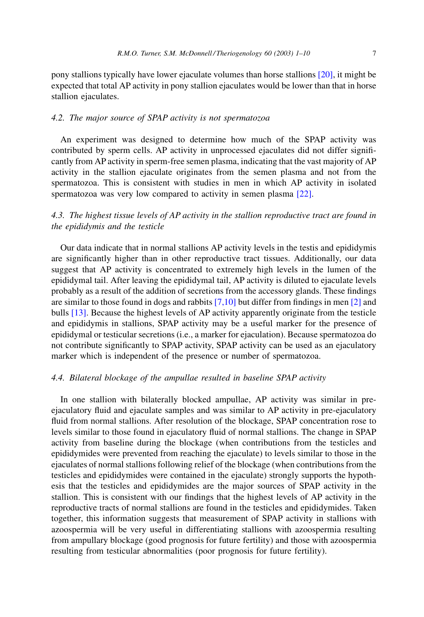pony stallions typically have lower ejaculate volumes than horse stallions [20], it might be expected that total AP activity in pony stallion ejaculates would be lower than that in horse stallion ejaculates.

## 4.2. The major source of SPAP activity is not spermatozoa

An experiment was designed to determine how much of the SPAP activity was contributed by sperm cells. AP activity in unprocessed ejaculates did not differ significantly from AP activity in sperm-free semen plasma, indicating that the vast majority of AP activity in the stallion ejaculate originates from the semen plasma and not from the spermatozoa. This is consistent with studies in men in which AP activity in isolated spermatozoa was very low compared to activity in semen plasma [22].

# 4.3. The highest tissue levels of AP activity in the stallion reproductive tract are found in the epididymis and the testicle

Our data indicate that in normal stallions AP activity levels in the test is and epididymis are significantly higher than in other reproductive tract tissues. Additionally, our data suggest that AP activity is concentrated to extremely high levels in the lumen of the epididymal tail. After leaving the epididymal tail, AP activity is diluted to ejaculate levels probably as a result of the addition of secretions from the accessory glands. These findings are similar to those found in dogs and rabbits  $[7,10]$  but differ from findings in men  $[2]$  and bulls [13]. Because the highest levels of AP activity apparently originate from the testicle and epididymis in stallions, SPAP activity may be a useful marker for the presence of epididymal or testicular secretions (i.e., a marker for ejaculation). Because spermatozoa do not contribute significantly to SPAP activity, SPAP activity can be used as an ejaculatory marker which is independent of the presence or number of spermatozoa.

## 4.4. Bilateral blockage of the ampullae resulted in baseline SPAP activity

In one stallion with bilaterally blocked ampullae, AP activity was similar in preejaculatory fluid and ejaculate samples and was similar to AP activity in pre-ejaculatory fluid from normal stallions. After resolution of the blockage, SPAP concentration rose to levels similar to those found in ejaculatory fluid of normal stallions. The change in SPAP activity from baseline during the blockage (when contributions from the testicles and epididymides were prevented from reaching the ejaculate) to levels similar to those in the ejaculates of normal stallions following relief of the blockage (when contributions from the testicles and epididymides were contained in the ejaculate) strongly supports the hypothesis that the testicles and epididymides are the major sources of SPAP activity in the stallion. This is consistent with our findings that the highest levels of AP activity in the reproductive tracts of normal stallions are found in the testicles and epididymides. Taken together, this information suggests that measurement of SPAP activity in stallions with azoospermia will be very useful in differentiating stallions with azoospermia resulting from ampullary blockage (good prognosis for future fertility) and those with azoospermia resulting from testicular abnormalities (poor prognosis for future fertility).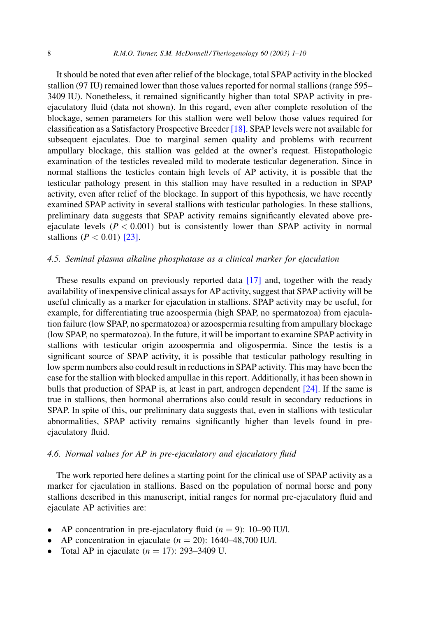It should be noted that even after relief of the blockage, total SPAP activity in the blocked stallion (97 IU) remained lower than those values reported for normal stallions (range 595– 3409 IU). Nonetheless, it remained significantly higher than total SPAP activity in preejaculatory fluid (data not shown). In this regard, even after complete resolution of the blockage, semen parameters for this stallion were well below those values required for classification as a Satisfactory Prospective Breeder [18]. SPAP levels were not available for subsequent ejaculates. Due to marginal semen quality and problems with recurrent ampullary blockage, this stallion was gelded at the owner's request. Histopathologic examination of the testicles revealed mild to moderate testicular degeneration. Since in normal stallions the testicles contain high levels of AP activity, it is possible that the testicular pathology present in this stallion may have resulted in a reduction in SPAP activity, even after relief of the blockage. In support of this hypothesis, we have recently examined SPAP activity in several stallions with testicular pathologies. In these stallions, preliminary data suggests that SPAP activity remains significantly elevated above preejaculate levels ( $P < 0.001$ ) but is consistently lower than SPAP activity in normal stallions ( $P < 0.01$ ) [23].

### 4.5. Seminal plasma alkaline phosphatase as a clinical marker for ejaculation

These results expand on previously reported data [17] and, together with the ready availability of inexpensive clinical assays for AP activity, suggest that SPAP activity will be useful clinically as a marker for ejaculation in stallions. SPAP activity may be useful, for example, for differentiating true azoospermia (high SPAP, no spermatozoa) from ejaculation failure (low SPAP, no spermatozoa) or azoospermia resulting from ampullary blockage (low SPAP, no spermatozoa). In the future, it will be important to examine SPAP activity in stallions with testicular origin azoospermia and oligospermia. Since the testis is a significant source of SPAP activity, it is possible that testicular pathology resulting in low sperm numbers also could result in reductions in SPAP activity. This may have been the case for the stallion with blocked ampullae in this report. Additionally, it has been shown in bulls that production of SPAP is, at least in part, androgen dependent  $[24]$ . If the same is true in stallions, then hormonal aberrations also could result in secondary reductions in SPAP. In spite of this, our preliminary data suggests that, even in stallions with testicular abnormalities, SPAP activity remains significantly higher than levels found in preejaculatory fluid.

## 4.6. Normal values for AP in pre-ejaculatory and ejaculatory fluid

The work reported here defines a starting point for the clinical use of SPAP activity as a marker for ejaculation in stallions. Based on the population of normal horse and pony stallions described in this manuscript, initial ranges for normal pre-ejaculatory fluid and ejaculate AP activities are:

- AP concentration in pre-ejaculatory fluid  $(n = 9)$ : 10–90 IU/l.
- AP concentration in ejaculate  $(n = 20)$ : 1640–48,700 IU/l.
- Total AP in ejaculate  $(n = 17)$ : 293–3409 U.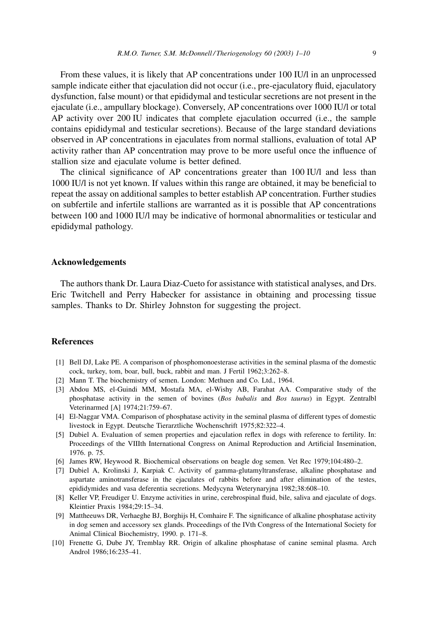<span id="page-8-0"></span>From these values, it is likely that AP concentrations under 100 IU/l in an unprocessed sample indicate either that ejaculation did not occur (i.e., pre-ejaculatory fluid, ejaculatory dysfunction, false mount) or that epididymal and testicular secretions are not present in the ejaculate (i.e., ampullary blockage). Conversely, AP concentrations over 1000 IU/l or total AP activity over 200 IU indicates that complete ejaculation occurred (i.e., the sample contains epididymal and testicular secretions). Because of the large standard deviations observed in AP concentrations in ejaculates from normal stallions, evaluation of total AP activity rather than AP concentration may prove to be more useful once the influence of stallion size and ejaculate volume is better defined.

The clinical significance of AP concentrations greater than 100 IU/l and less than 1000 IU/l is not yet known. If values within this range are obtained, it may be beneficial to repeat the assay on additional samples to better establish AP concentration. Further studies on subfertile and infertile stallions are warranted as it is possible that AP concentrations between 100 and 1000 IU/l may be indicative of hormonal abnormalities or testicular and epididymal pathology.

### **Acknowledgements**

The authors thank Dr. Laura Diaz-Cueto for assistance with statistical analyses, and Drs. Eric Twitchell and Perry Habecker for assistance in obtaining and processing tissue samples. Thanks to Dr. Shirley Johnston for suggesting the project.

## **References**

- [1] Bell DJ, Lake PE. A comparison of phosphomonoesterase activities in the seminal plasma of the domestic cock, turkey, tom, boar, bull, buck, rabbit and man. J Fertil 1962;3:262-8.
- [2] Mann T. The biochemistry of semen. London: Methuen and Co. Ltd., 1964.
- [3] Abdou MS, el-Guindi MM, Mostafa MA, el-Wishy AB, Farahat AA. Comparative study of the phosphatase activity in the semen of bovines (Bos bubalis and Bos taurus) in Egypt. Zentralbl Veterinarmed [A] 1974;21:759-67.
- [4] El-Naggar VMA. Comparison of phosphatase activity in the seminal plasma of different types of domestic livestock in Egypt. Deutsche Tierarztliche Wochenschrift 1975;82:322-4.
- [5] Dubiel A. Evaluation of semen properties and ejaculation reflex in dogs with reference to fertility. In: Proceedings of the VIIIth International Congress on Animal Reproduction and Artificial Insemination, 1976. p. 75.
- [6] James RW, Heywood R. Biochemical observations on beagle dog semen. Vet Rec 1979;104:480-2.
- [7] Dubiel A, Krolinski J, Karpiak C. Activity of gamma-glutamyltransferase, alkaline phosphatase and aspartate aminotransferase in the ejaculates of rabbits before and after elimination of the testes, epididymides and vasa deferentia secretions. Medycyna Weterynaryjna 1982;38:608-10.
- [8] Keller VP, Freudiger U. Enzyme activities in urine, cerebrospinal fluid, bile, saliva and ejaculate of dogs. Kleintier Praxis 1984;29:15-34.
- [9] Mattheeuws DR, Verhaeghe BJ, Borghijs H, Comhaire F. The significance of alkaline phosphatase activity in dog semen and accessory sex glands. Proceedings of the IVth Congress of the International Society for Animal Clinical Biochemistry, 1990. p. 171-8.
- [10] Frenette G, Dube JY, Tremblay RR. Origin of alkaline phosphatase of canine seminal plasma. Arch Androl 1986;16:235-41.